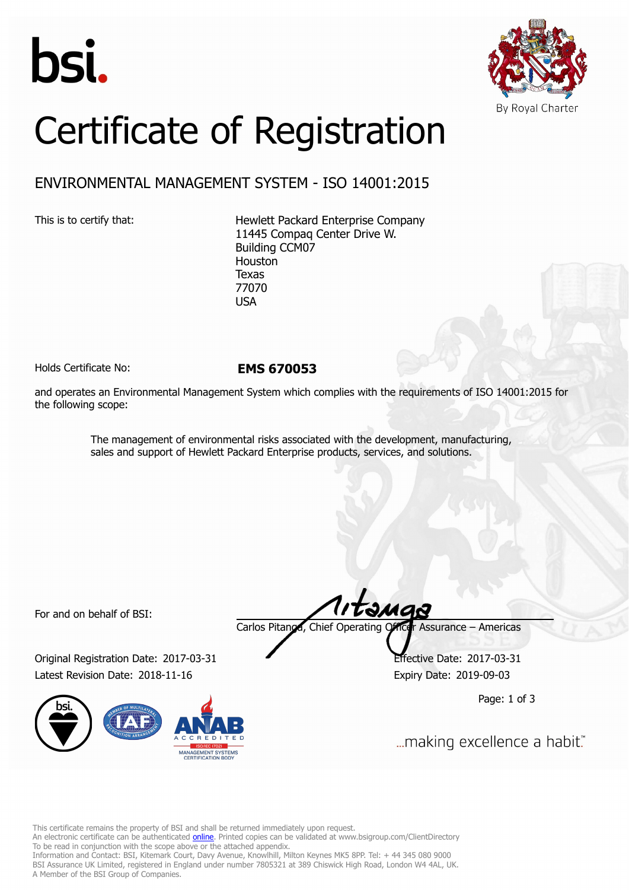



## Certificate of Registration

## ENVIRONMENTAL MANAGEMENT SYSTEM - ISO 14001:2015

This is to certify that: Hewlett Packard Enterprise Company 11445 Compaq Center Drive W. Building CCM07 Houston Texas 77070 USA

Holds Certificate No: **EMS 670053**

and operates an Environmental Management System which complies with the requirements of ISO 14001:2015 for the following scope:

> The management of environmental risks associated with the development, manufacturing, sales and support of Hewlett Packard Enterprise products, services, and solutions.

For and on behalf of BSI:

Original Registration Date: 2017-03-31 Effective Date: 2017-03-31 Latest Revision Date: 2018-11-16 Expiry Date: 2019-09-03



Carlos Pitanga, Chief Operating Officer Assurance – Americas

Page: 1 of 3

... making excellence a habit."

This certificate remains the property of BSI and shall be returned immediately upon request.

An electronic certificate can be authenticated *[online](https://pgplus.bsigroup.com/CertificateValidation/CertificateValidator.aspx?CertificateNumber=EMS+670053&ReIssueDate=16%2f11%2f2018&Template=inc)*. Printed copies can be validated at www.bsigroup.com/ClientDirectory To be read in conjunction with the scope above or the attached appendix.

Information and Contact: BSI, Kitemark Court, Davy Avenue, Knowlhill, Milton Keynes MK5 8PP. Tel: + 44 345 080 9000 BSI Assurance UK Limited, registered in England under number 7805321 at 389 Chiswick High Road, London W4 4AL, UK. A Member of the BSI Group of Companies.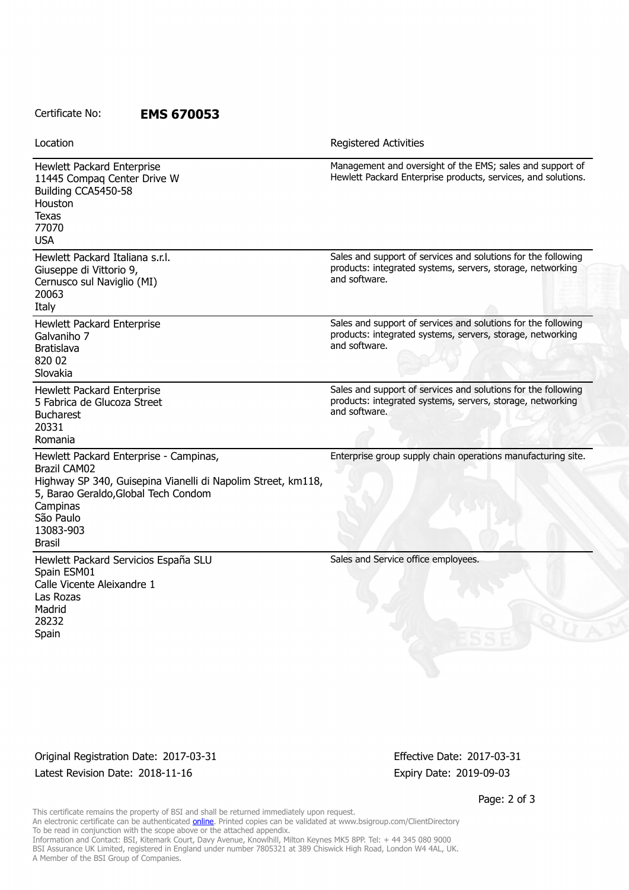## Certificate No: **EMS 670053**

| Location                                                                                                                                                                                                              | <b>Registered Activities</b>                                                                                                                 |
|-----------------------------------------------------------------------------------------------------------------------------------------------------------------------------------------------------------------------|----------------------------------------------------------------------------------------------------------------------------------------------|
| Hewlett Packard Enterprise<br>11445 Compaq Center Drive W<br>Building CCA5450-58<br>Houston<br>Texas<br>77070<br><b>USA</b>                                                                                           | Management and oversight of the EMS; sales and support of<br>Hewlett Packard Enterprise products, services, and solutions.                   |
| Hewlett Packard Italiana s.r.l.<br>Giuseppe di Vittorio 9,<br>Cernusco sul Naviglio (MI)<br>20063<br>Italy                                                                                                            | Sales and support of services and solutions for the following<br>products: integrated systems, servers, storage, networking<br>and software. |
| Hewlett Packard Enterprise<br>Galvaniho 7<br><b>Bratislava</b><br>820 02<br>Slovakia                                                                                                                                  | Sales and support of services and solutions for the following<br>products: integrated systems, servers, storage, networking<br>and software. |
| Hewlett Packard Enterprise<br>5 Fabrica de Glucoza Street<br><b>Bucharest</b><br>20331<br>Romania                                                                                                                     | Sales and support of services and solutions for the following<br>products: integrated systems, servers, storage, networking<br>and software. |
| Hewlett Packard Enterprise - Campinas,<br><b>Brazil CAM02</b><br>Highway SP 340, Guisepina Vianelli di Napolim Street, km118,<br>5, Barao Geraldo, Global Tech Condom<br>Campinas<br>São Paulo<br>13083-903<br>Brasil | Enterprise group supply chain operations manufacturing site.                                                                                 |
| Hewlett Packard Servicios España SLU<br>Spain ESM01<br>Calle Vicente Aleixandre 1<br>Las Rozas<br>Madrid<br>28232<br>Spain                                                                                            | Sales and Service office employees.                                                                                                          |

Original Registration Date: 2017-03-31 Effective Date: 2017-03-31 Latest Revision Date: 2018-11-16 Expiry Date: 2019-09-03

Page: 2 of 3

This certificate remains the property of BSI and shall be returned immediately upon request. An electronic certificate can be authenticated **[online](https://pgplus.bsigroup.com/CertificateValidation/CertificateValidator.aspx?CertificateNumber=EMS+670053&ReIssueDate=16%2f11%2f2018&Template=inc)**. Printed copies can be validated at www.bsigroup.com/ClientDirectory To be read in conjunction with the scope above or the attached appendix. Information and Contact: BSI, Kitemark Court, Davy Avenue, Knowlhill, Milton Keynes MK5 8PP. Tel: + 44 345 080 9000 BSI Assurance UK Limited, registered in England under number 7805321 at 389 Chiswick High Road, London W4 4AL, UK. A Member of the BSI Group of Companies.